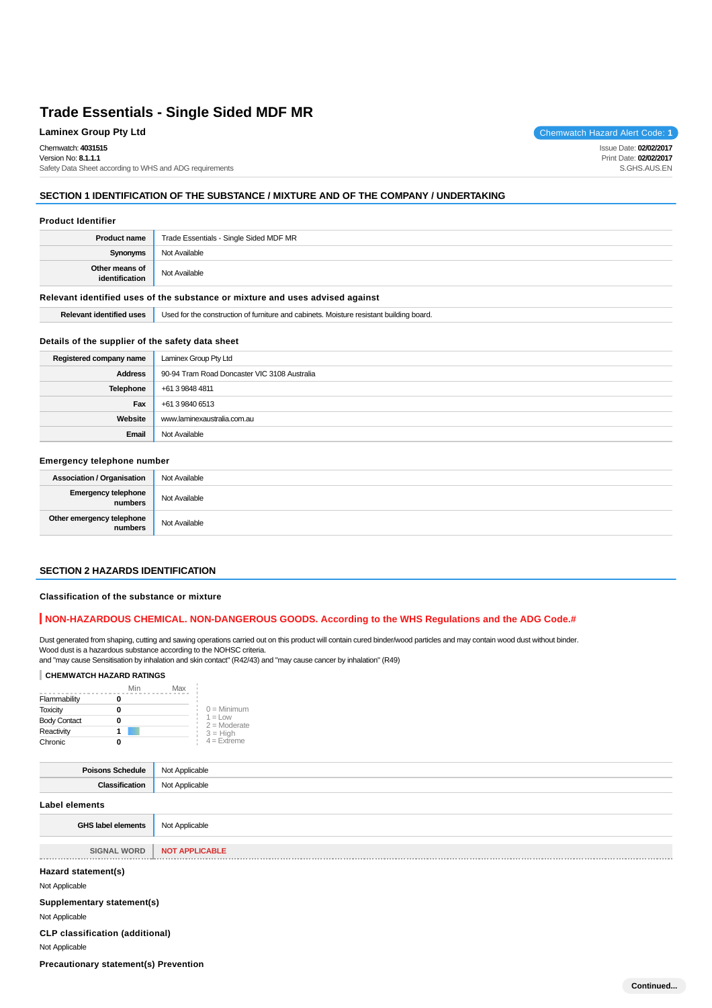## **Laminex Group Pty Ltd Chemwatch Hazard Alert Code: 1**

Chemwatch: **4031515** Version No: **8.1.1.1**

Safety Data Sheet according to WHS and ADG requirements

## **SECTION 1 IDENTIFICATION OF THE SUBSTANCE / MIXTURE AND OF THE COMPANY / UNDERTAKING**

#### **Product Identifier**

| <b>Product name</b>              | Trade Essentials - Single Sided MDF MR |
|----------------------------------|----------------------------------------|
| <b>Synonyms</b>                  | Not Available                          |
| Other means of<br>identification | Not Available                          |

#### **Relevant identified uses of the substance or mixture and uses advised against**

**Relevant identified uses** Used for the construction of furniture and cabinets. Moisture resistant building board.

#### **Details of the supplier of the safety data sheet**

| Registered company name | Laminex Group Pty Ltd                        |
|-------------------------|----------------------------------------------|
| <b>Address</b>          | 90-94 Tram Road Doncaster VIC 3108 Australia |
| Telephone               | +61 3 9848 4811                              |
| Fax                     | +61 3 9840 6513                              |
| Website                 | www.laminexaustralia.com.au                  |
| Email                   | Not Available                                |

## **Emergency telephone number**

| <b>Association / Organisation</b>    | Not Available |
|--------------------------------------|---------------|
| Emergency telephone<br>numbers       | Not Available |
| Other emergency telephone<br>numbers | Not Available |

## **SECTION 2 HAZARDS IDENTIFICATION**

#### **Classification of the substance or mixture**

## **NON-HAZARDOUS CHEMICAL. NON-DANGEROUS GOODS. According to the WHS Regulations and the ADG Code.#**

Dust generated from shaping, cutting and sawing operations carried out on this product will contain cured binder/wood particles and may contain wood dust without binder. Wood dust is a hazardous substance according to the NOHSC criteria.

and "may cause Sensitisation by inhalation and skin contact" (R42/43) and "may cause cancer by inhalation" (R49)

## **CHEMWATCH HAZARD RATINGS**

|                     | Min | Max |                                    |
|---------------------|-----|-----|------------------------------------|
| Flammability        | 0   |     |                                    |
| <b>Toxicity</b>     | 0   |     | $0 =$ Minimum                      |
| <b>Body Contact</b> | o   |     | $1 = 1$ $\Omega$<br>$2 =$ Moderate |
| Reactivity          |     |     | $3 = High$                         |
| Chronic             | 0   |     | $4 =$ Extreme                      |

| <b>Poisons Schedule</b>                                                                                        | Not Applicable        |
|----------------------------------------------------------------------------------------------------------------|-----------------------|
| Classification                                                                                                 | Not Applicable        |
| <b>Label elements</b>                                                                                          |                       |
| <b>GHS label elements</b>                                                                                      | Not Applicable        |
|                                                                                                                |                       |
| <b>SIGNAL WORD</b>                                                                                             | <b>NOT APPLICABLE</b> |
| Hazard statement(s)                                                                                            |                       |
| Not Applicable                                                                                                 |                       |
| Supplementary statement(s)                                                                                     |                       |
| Not Applicable                                                                                                 |                       |
| <b>CLP classification (additional)</b>                                                                         |                       |
| Not Applicable                                                                                                 |                       |
| - 2011년 - 대한민국의 대한민국의 대한민국의 대한민국의 대한민국의 대한민국의 대한민국의 대한민국의 대한민국의 대한민국의 대한민국의 대한민국의 대한민국의 대한민국의 대한민국의 대한민국의 대한민국 |                       |

**Precautionary statement(s) Prevention**



Issue Date: **02/02/2017** Print Date: **02/02/2017** S.GHS.AUS.EN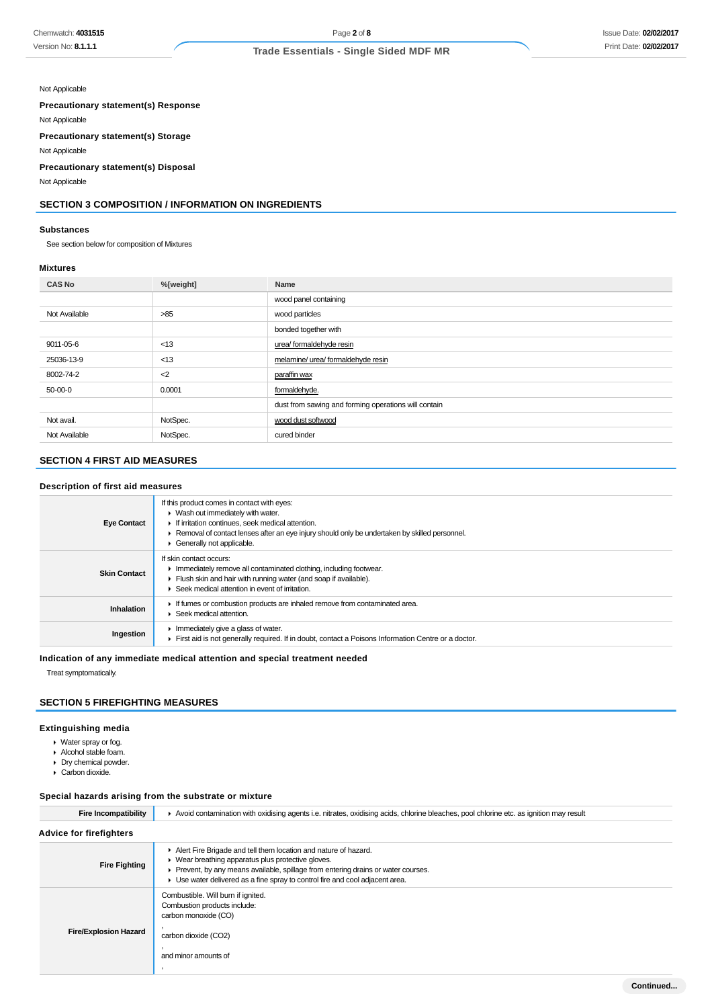## Not Applicable

**Precautionary statement(s) Response**

Not Applicable

**Precautionary statement(s) Storage**

Not Applicable

**Precautionary statement(s) Disposal**

Not Applicable

## **SECTION 3 COMPOSITION / INFORMATION ON INGREDIENTS**

## **Substances**

See section below for composition of Mixtures

#### **Mixtures**

| <b>CAS No</b> | %[weight] | Name                                                 |
|---------------|-----------|------------------------------------------------------|
|               |           | wood panel containing                                |
| Not Available | >85       | wood particles                                       |
|               |           | bonded together with                                 |
| 9011-05-6     | < 13      | urea/ formaldehyde resin                             |
| 25036-13-9    | < 13      | melamine/ urea/ formaldehyde resin                   |
| 8002-74-2     | $2$       | paraffin wax                                         |
| 50-00-0       | 0.0001    | formaldehyde.                                        |
|               |           | dust from sawing and forming operations will contain |
| Not avail.    | NotSpec.  | wood dust softwood                                   |
| Not Available | NotSpec.  | cured binder                                         |

## **SECTION 4 FIRST AID MEASURES**

## **Description of first aid measures**

| <b>Eye Contact</b>  | If this product comes in contact with eyes:<br>• Wash out immediately with water.<br>If irritation continues, seek medical attention.<br>Removal of contact lenses after an eye injury should only be undertaken by skilled personnel.<br>Generally not applicable. |
|---------------------|---------------------------------------------------------------------------------------------------------------------------------------------------------------------------------------------------------------------------------------------------------------------|
| <b>Skin Contact</b> | If skin contact occurs:<br>Immediately remove all contaminated clothing, including footwear.<br>Flush skin and hair with running water (and soap if available).<br>Seek medical attention in event of irritation.                                                   |
| <b>Inhalation</b>   | If fumes or combustion products are inhaled remove from contaminated area.<br>Seek medical attention.                                                                                                                                                               |
| Ingestion           | Immediately give a glass of water.<br>First aid is not generally required. If in doubt, contact a Poisons Information Centre or a doctor.                                                                                                                           |

**Indication of any immediate medical attention and special treatment needed**

Treat symptomatically.

## **SECTION 5 FIREFIGHTING MEASURES**

## **Extinguishing media**

- Water spray or fog.
- Alcohol stable foam.
- Dry chemical powder.
- Carbon dioxide.

## **Special hazards arising from the substrate or mixture**

| <b>Fire Incompatibility</b>    | Avoid contamination with oxidising agents i.e. nitrates, oxidising acids, chlorine bleaches, pool chlorine etc. as ignition may result                                                                                                                                                     |  |  |
|--------------------------------|--------------------------------------------------------------------------------------------------------------------------------------------------------------------------------------------------------------------------------------------------------------------------------------------|--|--|
| <b>Advice for firefighters</b> |                                                                                                                                                                                                                                                                                            |  |  |
| <b>Fire Fighting</b>           | Alert Fire Brigade and tell them location and nature of hazard.<br>• Wear breathing apparatus plus protective gloves.<br>Prevent, by any means available, spillage from entering drains or water courses.<br>• Use water delivered as a fine spray to control fire and cool adjacent area. |  |  |
| <b>Fire/Explosion Hazard</b>   | Combustible. Will burn if ignited.<br>Combustion products include:<br>carbon monoxide (CO)<br>carbon dioxide (CO2)<br>and minor amounts of                                                                                                                                                 |  |  |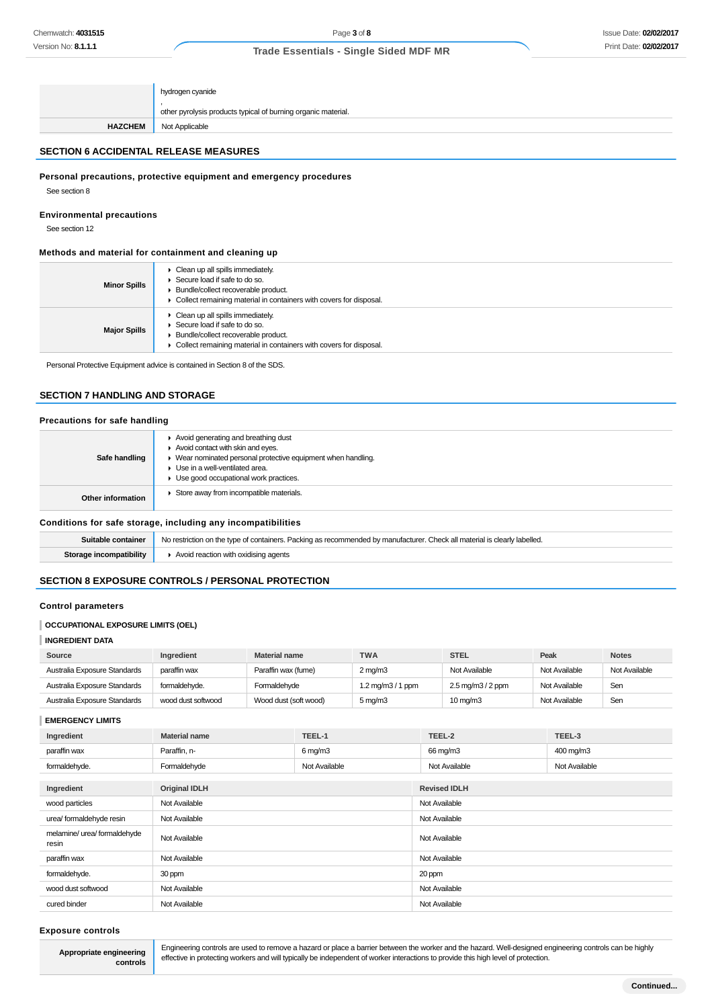|                | hydrogen cyanide                                              |
|----------------|---------------------------------------------------------------|
|                | other pyrolysis products typical of burning organic material. |
| <b>HAZCHEM</b> | Not Applicable                                                |

## **SECTION 6 ACCIDENTAL RELEASE MEASURES**

## **Personal precautions, protective equipment and emergency procedures**

See section 8

## **Environmental precautions**

See section 12

## **Methods and material for containment and cleaning up**

| <b>Minor Spills</b> | Clean up all spills immediately.<br>Secure load if safe to do so.<br>Bundle/collect recoverable product.<br>Collect remaining material in containers with covers for disposal. |
|---------------------|--------------------------------------------------------------------------------------------------------------------------------------------------------------------------------|
| <b>Major Spills</b> | Clean up all spills immediately.<br>Secure load if safe to do so.<br>Bundle/collect recoverable product.<br>Collect remaining material in containers with covers for disposal. |

Personal Protective Equipment advice is contained in Section 8 of the SDS.

## **SECTION 7 HANDLING AND STORAGE**

### **Precautions for safe handling**

| Conditions for safe storage, including any incompatibilities |                                                                                                                                                                                                                      |
|--------------------------------------------------------------|----------------------------------------------------------------------------------------------------------------------------------------------------------------------------------------------------------------------|
| Other information                                            | Store away from incompatible materials.                                                                                                                                                                              |
| Safe handling                                                | Avoid generating and breathing dust<br>Avoid contact with skin and eyes.<br>▶ Wear nominated personal protective equipment when handling.<br>Use in a well-ventilated area.<br>Use good occupational work practices. |

| Suitable container      | No restriction on the type of containers. Packing as recommended by manufacturer. Check all material is clearly labelled. |
|-------------------------|---------------------------------------------------------------------------------------------------------------------------|
| Storage incompatibility | Avoid reaction with oxidising agents                                                                                      |

## **SECTION 8 EXPOSURE CONTROLS / PERSONAL PROTECTION**

## **Control parameters**

## **OCCUPATIONAL EXPOSURE LIMITS (OEL)**

### **INGREDIENT DATA**

| Source                       | Ingredient         | <b>Material name</b>  | <b>TWA</b>          | <b>STEL</b>                                | Peak          | <b>Notes</b>  |
|------------------------------|--------------------|-----------------------|---------------------|--------------------------------------------|---------------|---------------|
| Australia Exposure Standards | paraffin wax       | Paraffin wax (fume)   | $2 \text{ ma/m}$ 3  | Not Available                              | Not Available | Not Available |
| Australia Exposure Standards | formaldehyde.      | Formaldehvde          | 1.2 mg/m3 / 1 ppm   | $2.5 \,\mathrm{mq/m}$ $3/2 \,\mathrm{ppm}$ | Not Available | Sen           |
| Australia Exposure Standards | wood dust softwood | Wood dust (soft wood) | $5 \,\mathrm{mq/m}$ | $10 \text{ mg/m}$                          | Not Available | Sen           |

#### **EMERGENCY LIMITS**

| Ingredient                            | <b>Material name</b> | TEEL-1              | TEEL-2              | TEEL-3        |
|---------------------------------------|----------------------|---------------------|---------------------|---------------|
| paraffin wax                          | Paraffin, n-         | $6 \,\mathrm{mg/m}$ | 66 mg/m3            | 400 mg/m3     |
| formaldehyde.                         | Formaldehyde         | Not Available       | Not Available       | Not Available |
|                                       |                      |                     |                     |               |
| Ingredient                            | <b>Original IDLH</b> |                     | <b>Revised IDLH</b> |               |
| wood particles                        | Not Available        |                     | Not Available       |               |
| urea/ formaldehyde resin              | Not Available        |                     | Not Available       |               |
| melamine/ urea/ formaldehyde<br>resin | Not Available        |                     | Not Available       |               |
| paraffin wax                          | Not Available        |                     | Not Available       |               |
| formaldehyde.                         | 30 ppm               |                     | 20 ppm              |               |
| wood dust softwood                    | Not Available        |                     | Not Available       |               |
| cured binder                          | Not Available        |                     | Not Available       |               |

#### **Exposure controls**

**Appropriate engineering controls** Engineering controls are used to remove a hazard or place a barrier between the worker and the hazard. Well-designed engineering controls can be highly effective in protecting workers and will typically be independent of worker interactions to provide this high level of protection.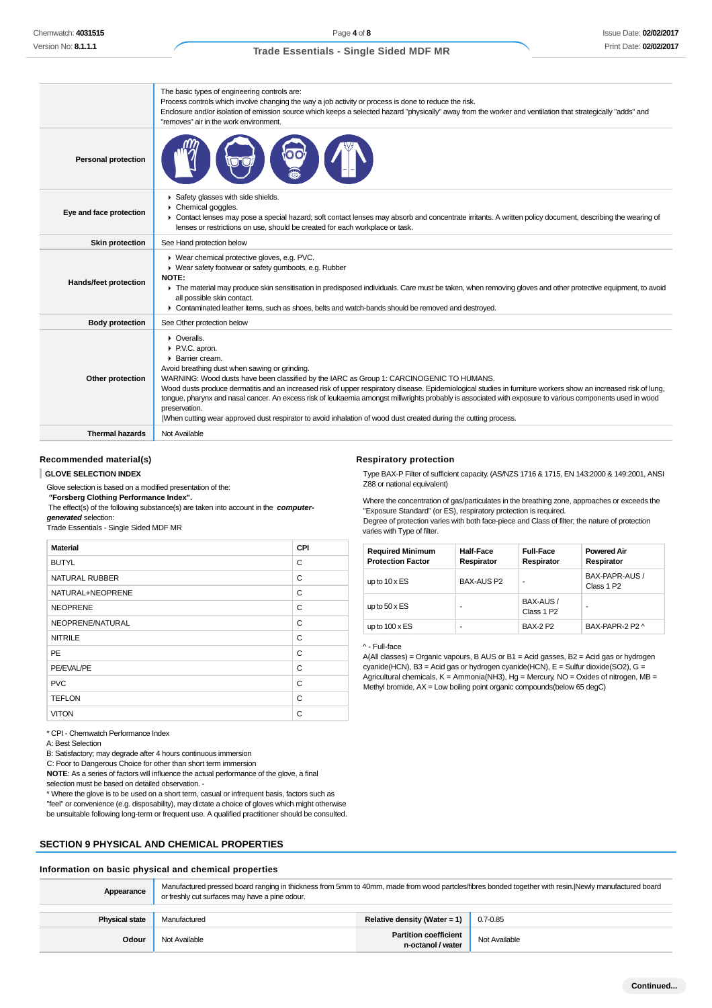|                            | The basic types of engineering controls are:<br>Process controls which involve changing the way a job activity or process is done to reduce the risk.<br>Enclosure and/or isolation of emission source which keeps a selected hazard "physically" away from the worker and ventilation that strategically "adds" and<br>"removes" air in the work environment.                                                                                                                                                                                                                                                                                                                    |
|----------------------------|-----------------------------------------------------------------------------------------------------------------------------------------------------------------------------------------------------------------------------------------------------------------------------------------------------------------------------------------------------------------------------------------------------------------------------------------------------------------------------------------------------------------------------------------------------------------------------------------------------------------------------------------------------------------------------------|
| <b>Personal protection</b> |                                                                                                                                                                                                                                                                                                                                                                                                                                                                                                                                                                                                                                                                                   |
| Eye and face protection    | Safety glasses with side shields.<br>Chemical goggles.<br>► Contact lenses may pose a special hazard; soft contact lenses may absorb and concentrate irritants. A written policy document, describing the wearing of<br>lenses or restrictions on use, should be created for each workplace or task.                                                                                                                                                                                                                                                                                                                                                                              |
| Skin protection            | See Hand protection below                                                                                                                                                                                                                                                                                                                                                                                                                                                                                                                                                                                                                                                         |
| Hands/feet protection      | ▶ Wear chemical protective gloves, e.g. PVC.<br>• Wear safety footwear or safety gumboots, e.g. Rubber<br>NOTE:<br>The material may produce skin sensitisation in predisposed individuals. Care must be taken, when removing gloves and other protective equipment, to avoid<br>all possible skin contact.<br>► Contaminated leather items, such as shoes, belts and watch-bands should be removed and destroyed.                                                                                                                                                                                                                                                                 |
| <b>Body protection</b>     | See Other protection below                                                                                                                                                                                                                                                                                                                                                                                                                                                                                                                                                                                                                                                        |
| Other protection           | $\triangleright$ Overalls.<br>▶ P.V.C. apron.<br>▶ Barrier cream.<br>Avoid breathing dust when sawing or grinding.<br>WARNING: Wood dusts have been classified by the IARC as Group 1: CARCINOGENIC TO HUMANS.<br>Wood dusts produce dermatitis and an increased risk of upper respiratory disease. Epidemiological studies in furniture workers show an increased risk of lung,<br>tongue, pharynx and nasal cancer. An excess risk of leukaemia amongst millwrights probably is associated with exposure to various components used in wood<br>preservation.<br>When cutting wear approved dust respirator to avoid inhalation of wood dust created during the cutting process. |
| <b>Thermal hazards</b>     | Not Available                                                                                                                                                                                                                                                                                                                                                                                                                                                                                                                                                                                                                                                                     |

#### **Recommended material(s)**

#### **GLOVE SELECTION INDEX**

Glove selection is based on a modified presentation of the:  **"Forsberg Clothing Performance Index".**

 The effect(s) of the following substance(s) are taken into account in the **computergenerated** selection:

Trade Essentials - Single Sided MDF MR

| <b>Material</b>       | <b>CPI</b> |
|-----------------------|------------|
| <b>BUTYL</b>          | C          |
| <b>NATURAL RUBBER</b> | C          |
| NATURAL+NEOPRENE      | C          |
| <b>NEOPRENE</b>       | C          |
| NEOPRENE/NATURAL      | C          |
| <b>NITRILE</b>        | C          |
| <b>PE</b>             | C          |
| PE/EVAL/PE            | C          |
| <b>PVC</b>            | C          |
| <b>TEFLON</b>         | C          |
| <b>VITON</b>          | C          |

\* CPI - Chemwatch Performance Index

A: Best Selection

B: Satisfactory; may degrade after 4 hours continuous immersion

C: Poor to Dangerous Choice for other than short term immersion

**NOTE**: As a series of factors will influence the actual performance of the glove, a final selection must be based on detailed observation. -

\* Where the glove is to be used on a short term, casual or infrequent basis, factors such as "feel" or convenience (e.g. disposability), may dictate a choice of gloves which might otherwise be unsuitable following long-term or frequent use. A qualified practitioner should be consulted.

## **SECTION 9 PHYSICAL AND CHEMICAL PROPERTIES**

## **Information on basic physical and chemical properties**

| Appearance            | Manufactured pressed board ranging in thickness from 5mm to 40mm, made from wood partcles/fibres bonded together with resin. Newly manufactured board<br>or freshly cut surfaces may have a pine odour. |                                                   |               |
|-----------------------|---------------------------------------------------------------------------------------------------------------------------------------------------------------------------------------------------------|---------------------------------------------------|---------------|
| <b>Physical state</b> | Manufactured                                                                                                                                                                                            | Relative density (Water = 1)                      | 0.7-0.85      |
| Odour                 | Not Available                                                                                                                                                                                           | <b>Partition coefficient</b><br>n-octanol / water | Not Available |

#### **Respiratory protection**

Type BAX-P Filter of sufficient capacity. (AS/NZS 1716 & 1715, EN 143:2000 & 149:2001, ANSI Z88 or national equivalent)

Where the concentration of gas/particulates in the breathing zone, approaches or exceeds the "Exposure Standard" (or ES), respiratory protection is required. Degree of protection varies with both face-piece and Class of filter; the nature of protection varies with Type of filter.

| <b>Required Minimum</b><br><b>Protection Factor</b> | Half-Face<br>Respirator | <b>Full-Face</b><br>Respirator      | <b>Powered Air</b><br>Respirator         |
|-----------------------------------------------------|-------------------------|-------------------------------------|------------------------------------------|
| up to $10 \times ES$                                | <b>BAX-AUS P2</b>       | ۰                                   | BAX-PAPR-AUS /<br>Class 1 P <sub>2</sub> |
| up to $50 \times ES$                                | -                       | BAX-AUS /<br>Class 1 P <sub>2</sub> | ۰                                        |
| up to $100 \times ES$                               | -                       | <b>BAX-2 P2</b>                     | BAX-PAPR-2 P2 ^                          |

#### ^ - Full-face

A(All classes) = Organic vapours, B AUS or B1 = Acid gasses, B2 = Acid gas or hydrogen cyanide(HCN), B3 = Acid gas or hydrogen cyanide(HCN), E = Sulfur dioxide(SO2), G = Agricultural chemicals, K = Ammonia(NH3), Hg = Mercury, NO = Oxides of nitrogen, MB = Methyl bromide,  $AX =$ Low boiling point organic compounds(below 65 degC)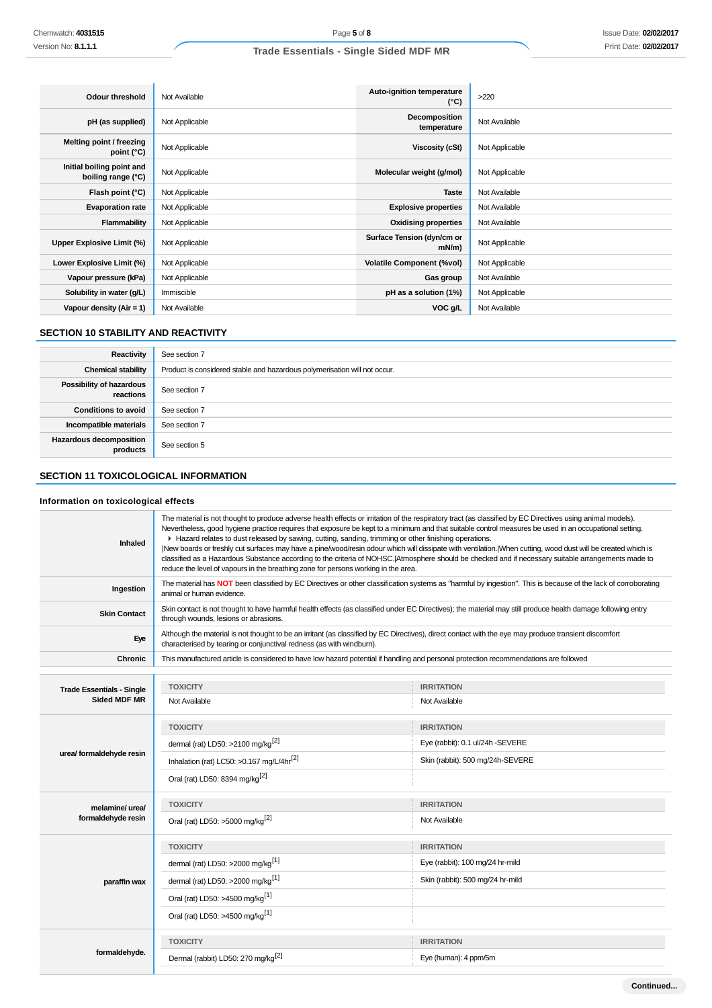| <b>Odour threshold</b>                          | Not Available  | Auto-ignition temperature<br>$(^{\circ}C)$ | >220           |
|-------------------------------------------------|----------------|--------------------------------------------|----------------|
| pH (as supplied)                                | Not Applicable | Decomposition<br>temperature               | Not Available  |
| Melting point / freezing<br>point $(^{\circ}C)$ | Not Applicable | Viscosity (cSt)                            | Not Applicable |
| Initial boiling point and<br>boiling range (°C) | Not Applicable | Molecular weight (g/mol)                   | Not Applicable |
| Flash point (°C)                                | Not Applicable | <b>Taste</b>                               | Not Available  |
| <b>Evaporation rate</b>                         | Not Applicable | <b>Explosive properties</b>                | Not Available  |
| Flammability                                    | Not Applicable | <b>Oxidising properties</b>                | Not Available  |
| Upper Explosive Limit (%)                       | Not Applicable | Surface Tension (dyn/cm or<br>$mN/m$ )     | Not Applicable |
| Lower Explosive Limit (%)                       | Not Applicable | <b>Volatile Component (%vol)</b>           | Not Applicable |
| Vapour pressure (kPa)                           | Not Applicable | Gas group                                  | Not Available  |
| Solubility in water (g/L)                       | Immiscible     | pH as a solution (1%)                      | Not Applicable |
| Vapour density $(Air = 1)$                      | Not Available  | VOC g/L                                    | Not Available  |

## **SECTION 10 STABILITY AND REACTIVITY**

| Reactivity                                 | See section 7                                                             |
|--------------------------------------------|---------------------------------------------------------------------------|
| <b>Chemical stability</b>                  | Product is considered stable and hazardous polymerisation will not occur. |
| Possibility of hazardous<br>reactions      | See section 7                                                             |
| <b>Conditions to avoid</b>                 | See section 7                                                             |
| Incompatible materials                     | See section 7                                                             |
| <b>Hazardous decomposition</b><br>products | See section 5                                                             |

## **SECTION 11 TOXICOLOGICAL INFORMATION**

## **Information on toxicological effects**

| Inhaled                          | The material is not thought to produce adverse health effects or irritation of the respiratory tract (as classified by EC Directives using animal models).<br>Nevertheless, good hygiene practice requires that exposure be kept to a minimum and that suitable control measures be used in an occupational setting.<br>► Hazard relates to dust released by sawing, cutting, sanding, trimming or other finishing operations.<br>New boards or freshly cut surfaces may have a pine/wood/resin odour which will dissipate with ventilation. When cutting, wood dust will be created which is<br>classified as a Hazardous Substance according to the criteria of NOHSC. Atmosphere should be checked and if necessary suitable arrangements made to<br>reduce the level of vapours in the breathing zone for persons working in the area. |                                                                                                                                                              |  |  |
|----------------------------------|--------------------------------------------------------------------------------------------------------------------------------------------------------------------------------------------------------------------------------------------------------------------------------------------------------------------------------------------------------------------------------------------------------------------------------------------------------------------------------------------------------------------------------------------------------------------------------------------------------------------------------------------------------------------------------------------------------------------------------------------------------------------------------------------------------------------------------------------|--------------------------------------------------------------------------------------------------------------------------------------------------------------|--|--|
| Ingestion                        | The material has NOT been classified by EC Directives or other classification systems as "harmful by ingestion". This is because of the lack of corroborating<br>animal or human evidence.                                                                                                                                                                                                                                                                                                                                                                                                                                                                                                                                                                                                                                                 |                                                                                                                                                              |  |  |
| <b>Skin Contact</b>              | through wounds, lesions or abrasions.                                                                                                                                                                                                                                                                                                                                                                                                                                                                                                                                                                                                                                                                                                                                                                                                      | Skin contact is not thought to have harmful health effects (as classified under EC Directives); the material may still produce health damage following entry |  |  |
| Eye                              | Although the material is not thought to be an irritant (as classified by EC Directives), direct contact with the eye may produce transient discomfort<br>characterised by tearing or conjunctival redness (as with windburn).                                                                                                                                                                                                                                                                                                                                                                                                                                                                                                                                                                                                              |                                                                                                                                                              |  |  |
| <b>Chronic</b>                   | This manufactured article is considered to have low hazard potential if handling and personal protection recommendations are followed                                                                                                                                                                                                                                                                                                                                                                                                                                                                                                                                                                                                                                                                                                      |                                                                                                                                                              |  |  |
|                                  |                                                                                                                                                                                                                                                                                                                                                                                                                                                                                                                                                                                                                                                                                                                                                                                                                                            |                                                                                                                                                              |  |  |
| <b>Trade Essentials - Single</b> | <b>TOXICITY</b>                                                                                                                                                                                                                                                                                                                                                                                                                                                                                                                                                                                                                                                                                                                                                                                                                            | <b>IRRITATION</b>                                                                                                                                            |  |  |
| <b>Sided MDF MR</b>              | Not Available                                                                                                                                                                                                                                                                                                                                                                                                                                                                                                                                                                                                                                                                                                                                                                                                                              | Not Available                                                                                                                                                |  |  |
|                                  | <b>TOXICITY</b>                                                                                                                                                                                                                                                                                                                                                                                                                                                                                                                                                                                                                                                                                                                                                                                                                            | <b>IRRITATION</b>                                                                                                                                            |  |  |
|                                  | dermal (rat) LD50: >2100 mg/kg <sup>[2]</sup>                                                                                                                                                                                                                                                                                                                                                                                                                                                                                                                                                                                                                                                                                                                                                                                              | Eye (rabbit): 0.1 ul/24h -SEVERE                                                                                                                             |  |  |
| urea/ formaldehyde resin         | Inhalation (rat) LC50: >0.167 mg/L/4hr <sup>[2]</sup>                                                                                                                                                                                                                                                                                                                                                                                                                                                                                                                                                                                                                                                                                                                                                                                      | Skin (rabbit): 500 mg/24h-SEVERE                                                                                                                             |  |  |
|                                  | Oral (rat) LD50: 8394 mg/kg <sup>[2]</sup>                                                                                                                                                                                                                                                                                                                                                                                                                                                                                                                                                                                                                                                                                                                                                                                                 |                                                                                                                                                              |  |  |
| melamine/ urea/                  | <b>TOXICITY</b>                                                                                                                                                                                                                                                                                                                                                                                                                                                                                                                                                                                                                                                                                                                                                                                                                            | <b>IRRITATION</b>                                                                                                                                            |  |  |
| formaldehyde resin               | Oral (rat) LD50: >5000 mg/kg <sup>[2]</sup>                                                                                                                                                                                                                                                                                                                                                                                                                                                                                                                                                                                                                                                                                                                                                                                                | Not Available                                                                                                                                                |  |  |
|                                  | <b>TOXICITY</b>                                                                                                                                                                                                                                                                                                                                                                                                                                                                                                                                                                                                                                                                                                                                                                                                                            | <b>IRRITATION</b>                                                                                                                                            |  |  |
|                                  | dermal (rat) LD50: >2000 mg/kg <sup>[1]</sup>                                                                                                                                                                                                                                                                                                                                                                                                                                                                                                                                                                                                                                                                                                                                                                                              | Eye (rabbit): 100 mg/24 hr-mild                                                                                                                              |  |  |
| paraffin wax                     | dermal (rat) LD50: >2000 mg/kg <sup>[1]</sup>                                                                                                                                                                                                                                                                                                                                                                                                                                                                                                                                                                                                                                                                                                                                                                                              | Skin (rabbit): 500 mg/24 hr-mild                                                                                                                             |  |  |
|                                  | Oral (rat) LD50: >4500 mg/kg <sup>[1]</sup>                                                                                                                                                                                                                                                                                                                                                                                                                                                                                                                                                                                                                                                                                                                                                                                                |                                                                                                                                                              |  |  |
|                                  | Oral (rat) LD50: >4500 mg/kg <sup>[1]</sup>                                                                                                                                                                                                                                                                                                                                                                                                                                                                                                                                                                                                                                                                                                                                                                                                |                                                                                                                                                              |  |  |
|                                  | <b>TOXICITY</b>                                                                                                                                                                                                                                                                                                                                                                                                                                                                                                                                                                                                                                                                                                                                                                                                                            | <b>IRRITATION</b>                                                                                                                                            |  |  |
| formaldehyde.                    | Dermal (rabbit) LD50: 270 mg/kg <sup>[2]</sup>                                                                                                                                                                                                                                                                                                                                                                                                                                                                                                                                                                                                                                                                                                                                                                                             | Eye (human): 4 ppm/5m                                                                                                                                        |  |  |
|                                  |                                                                                                                                                                                                                                                                                                                                                                                                                                                                                                                                                                                                                                                                                                                                                                                                                                            |                                                                                                                                                              |  |  |

**Continued...**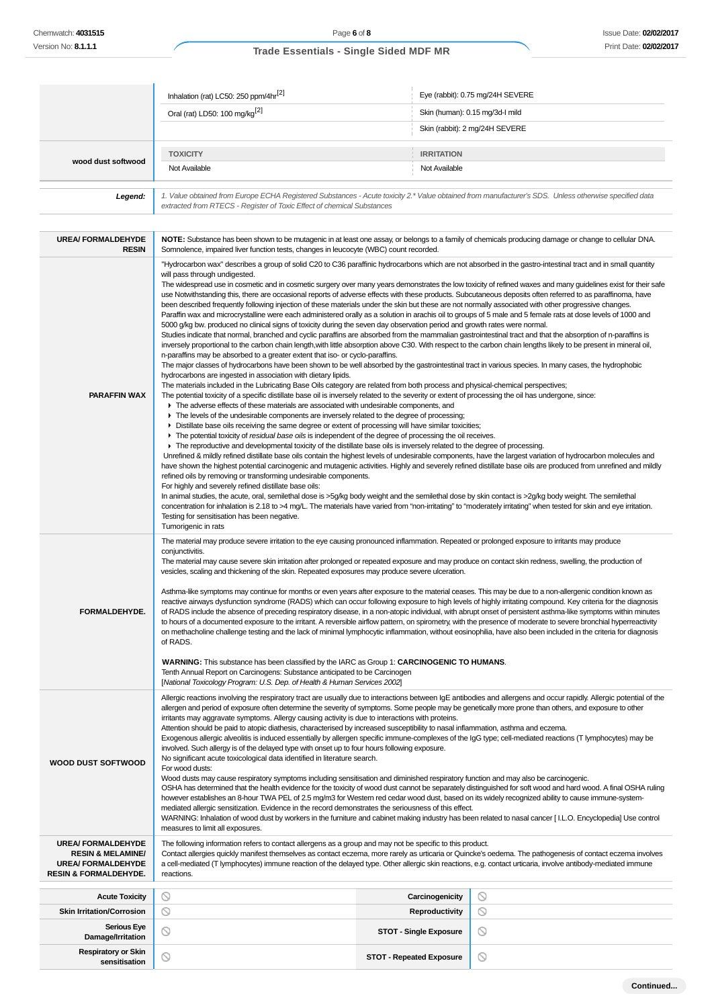|                                           | Inhalation (rat) LC50: 250 ppm/4hr <sup>[2]</sup>                                                                                                                                                                                                                                                                                                                   | Eye (rabbit): 0.75 mg/24H SEVERE                                                                                                                                                                                                                                                                                                                                                                                                                                                                                                                                                                                                                                                                                                                                                                                                                                                                                                                     |
|-------------------------------------------|---------------------------------------------------------------------------------------------------------------------------------------------------------------------------------------------------------------------------------------------------------------------------------------------------------------------------------------------------------------------|------------------------------------------------------------------------------------------------------------------------------------------------------------------------------------------------------------------------------------------------------------------------------------------------------------------------------------------------------------------------------------------------------------------------------------------------------------------------------------------------------------------------------------------------------------------------------------------------------------------------------------------------------------------------------------------------------------------------------------------------------------------------------------------------------------------------------------------------------------------------------------------------------------------------------------------------------|
|                                           | Oral (rat) LD50: 100 mg/kg <sup>[2]</sup>                                                                                                                                                                                                                                                                                                                           | Skin (human): 0.15 mg/3d-l mild                                                                                                                                                                                                                                                                                                                                                                                                                                                                                                                                                                                                                                                                                                                                                                                                                                                                                                                      |
|                                           |                                                                                                                                                                                                                                                                                                                                                                     | Skin (rabbit): 2 mg/24H SEVERE                                                                                                                                                                                                                                                                                                                                                                                                                                                                                                                                                                                                                                                                                                                                                                                                                                                                                                                       |
|                                           | <b>TOXICITY</b>                                                                                                                                                                                                                                                                                                                                                     | <b>IRRITATION</b>                                                                                                                                                                                                                                                                                                                                                                                                                                                                                                                                                                                                                                                                                                                                                                                                                                                                                                                                    |
| wood dust softwood                        | Not Available                                                                                                                                                                                                                                                                                                                                                       | Not Available                                                                                                                                                                                                                                                                                                                                                                                                                                                                                                                                                                                                                                                                                                                                                                                                                                                                                                                                        |
| Legend:                                   | extracted from RTECS - Register of Toxic Effect of chemical Substances                                                                                                                                                                                                                                                                                              | 1. Value obtained from Europe ECHA Registered Substances - Acute toxicity 2.* Value obtained from manufacturer's SDS. Unless otherwise specified data                                                                                                                                                                                                                                                                                                                                                                                                                                                                                                                                                                                                                                                                                                                                                                                                |
| <b>UREA/ FORMALDEHYDE</b><br><b>RESIN</b> | Somnolence, impaired liver function tests, changes in leucocyte (WBC) count recorded.                                                                                                                                                                                                                                                                               | NOTE: Substance has been shown to be mutagenic in at least one assay, or belongs to a family of chemicals producing damage or change to cellular DNA.                                                                                                                                                                                                                                                                                                                                                                                                                                                                                                                                                                                                                                                                                                                                                                                                |
|                                           | will pass through undigested.<br>Studies indicate that normal, branched and cyclic paraffins are absorbed from the mammalian gastrointestinal tract and that the absorption of n-paraffins is<br>inversely proportional to the carbon chain length, with little absorption above C30. With respect to the carbon chain lengths likely to be present in mineral oil, | "Hydrocarbon wax" describes a group of solid C20 to C36 paraffinic hydrocarbons which are not absorbed in the gastro-intestinal tract and in small quantity<br>The widespread use in cosmetic and in cosmetic surgery over many years demonstrates the low toxicity of refined waxes and many guidelines exist for their safe<br>use Notwithstanding this, there are occasional reports of adverse effects with these products. Subcutaneous deposits often referred to as paraffinoma, have<br>been described frequently following injection of these materials under the skin but these are not normally associated with other progressive changes.<br>Paraffin wax and microcrystalline were each administered orally as a solution in arachis oil to groups of 5 male and 5 female rats at dose levels of 1000 and<br>5000 g/kg bw. produced no clinical signs of toxicity during the seven day observation period and growth rates were normal. |

The material may cause severe skin irritation after prolonged or repeated exposure and may produce on contact skin redness, swelling, the production of vesicles, scaling and thickening of the skin. Repeated exposures may produce severe ulceration.

**FORMALDEHYDE.** Asthma-like symptoms may continue for months or even years after exposure to the material ceases. This may be due to a non-allergenic condition known as reactive airways dysfunction syndrome (RADS) which can occur following exposure to high levels of highly irritating compound. Key criteria for the diagnosis of RADS include the absence of preceding respiratory disease, in a non-atopic individual, with abrupt onset of persistent asthma-like symptoms within minutes to hours of a documented exposure to the irritant. A reversible airflow pattern, on spirometry, with the presence of moderate to severe bronchial hyperreactivity on methacholine challenge testing and the lack of minimal lymphocytic inflammation, without eosinophilia, have also been included in the criteria for diagnosis of RADS.

**WARNING:** This substance has been classified by the IARC as Group 1: **CARCINOGENIC TO HUMANS**. Tenth Annual Report on Carcinogens: Substance anticipated to be Carcinogen [National Toxicology Program: U.S. Dep. of Health & Human Services 2002] Allergic reactions involving the respiratory tract are usually due to interactions between IgE antibodies and allergens and occur rapidly. Allergic potential of the allergen and period of exposure often determine the severity of symptoms. Some people may be genetically more prone than others, and exposure to other irritants may aggravate symptoms. Allergy causing activity is due to interactions with proteins. Attention should be paid to atopic diathesis, characterised by increased susceptibility to nasal inflammation, asthma and eczema.

Exogenous allergic alveolitis is induced essentially by allergen specific immune-complexes of the IgG type; cell-mediated reactions (T lymphocytes) may be involved. Such allergy is of the delayed type with onset up to four hours following exposure.

**WOOD DUST SOFTWOOD** No significant acute toxicological data identified in literature search. For wood dusts: Wood dusts may cause respiratory symptoms including sensitisation and diminished respiratory function and may also be carcinogenic.

OSHA has determined that the health evidence for the toxicity of wood dust cannot be separately distinguished for soft wood and hard wood. A final OSHA ruling however establishes an 8-hour TWA PEL of 2.5 mg/m3 for Western red cedar wood dust, based on its widely recognized ability to cause immune-systemmediated allergic sensitization. Evidence in the record demonstrates the seriousness of this effect.

WARNING: Inhalation of wood dust by workers in the furniture and cabinet making industry has been related to nasal cancer [I.L.O. Encyclopedia] Use control measures to limit all exposures.

| UREA/FORMALDEHYDE | The following information refers to contact allergens as a group and may not be specific to this product.                             |
|-------------------|---------------------------------------------------------------------------------------------------------------------------------------|
|                   | <b>RESIN &amp; MELAMINE/</b> Contact allergies quickly manifest themselves as contact eczema, more rarely as urticaria or Quincke's o |

**UREA/ FORMALDEHYDE RESIN & FORMALDEHYDE.** t themselves as contact eczema, more rarely as urticaria or Quincke's oedema. The pathogenesis of contact eczema involves a cell-mediated (T lymphocytes) immune reaction of the delayed type. Other allergic skin reactions, e.g. contact urticaria, involve antibody-mediated immune reactions.

> $\circ$  $\circ$  $\circ$

 $\circ$ 

## **Acute Toxicity Carcinogenicity Skin Irritation/Corrosion Reproductivity Serious Eye Damage/Irritation STOT - Single Exposure**<br> **Damage/Irritation Respiratory or Skin sensitisation STOT - Repeated Exposure**<br> **STOT - Repeated Exposure**

| Continued |  |
|-----------|--|
|           |  |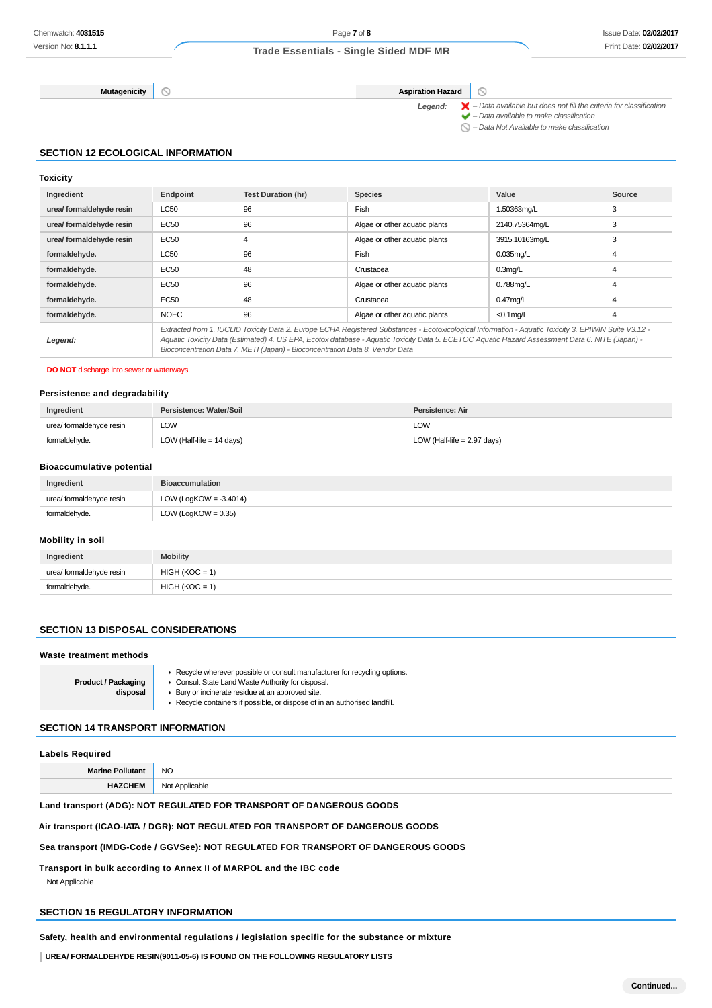**Mutagenicity Aspiration Hazard** 

 $\circledcirc$ 

Legend:  $\blacktriangleright$  - Data available but does not fill the criteria for classification  $\blacktriangleright$  – Data available to make classification

 $\bigcirc$  – Data Not Available to make classification

## **SECTION 12 ECOLOGICAL INFORMATION**

## **Toxicity**

| Ingredient               | Endpoint                                                                                                                                                                                                                                                                                                                                                                                 | <b>Test Duration (hr)</b> | <b>Species</b>                | Value          | Source |
|--------------------------|------------------------------------------------------------------------------------------------------------------------------------------------------------------------------------------------------------------------------------------------------------------------------------------------------------------------------------------------------------------------------------------|---------------------------|-------------------------------|----------------|--------|
| urea/ formaldehyde resin | LC50                                                                                                                                                                                                                                                                                                                                                                                     | 96                        | Fish                          | 1.50363mg/L    | 3      |
| urea/ formaldehyde resin | EC50                                                                                                                                                                                                                                                                                                                                                                                     | 96                        | Algae or other aquatic plants | 2140.75364mg/L | 3      |
| urea/ formaldehyde resin | EC50                                                                                                                                                                                                                                                                                                                                                                                     | $\overline{4}$            | Algae or other aquatic plants | 3915.10163mg/L | 3      |
| formaldehyde.            | <b>LC50</b>                                                                                                                                                                                                                                                                                                                                                                              | 96                        | Fish                          | $0.035$ mg/L   | 4      |
| formaldehyde.            | EC50                                                                                                                                                                                                                                                                                                                                                                                     | 48                        | Crustacea                     | $0.3$ mg/L     | 4      |
| formaldehyde.            | EC50                                                                                                                                                                                                                                                                                                                                                                                     | 96                        | Algae or other aquatic plants | 0.788mg/L      | 4      |
| formaldehyde.            | EC50                                                                                                                                                                                                                                                                                                                                                                                     | 48                        | Crustacea                     | $0.47$ mg/L    | 4      |
| formaldehyde.            | <b>NOEC</b>                                                                                                                                                                                                                                                                                                                                                                              | 96                        | Algae or other aquatic plants | $<$ 0.1 $mq/L$ | 4      |
| Legend:                  | Extracted from 1. IUCLID Toxicity Data 2. Europe ECHA Registered Substances - Ecotoxicological Information - Aguatic Toxicity 3. EPIWIN Suite V3.12 -<br>Aquatic Toxicity Data (Estimated) 4. US EPA, Ecotox database - Aquatic Toxicity Data 5. ECETOC Aquatic Hazard Assessment Data 6. NITE (Japan) -<br>Bioconcentration Data 7. METI (Japan) - Bioconcentration Data 8. Vendor Data |                           |                               |                |        |

#### **DO NOT** discharge into sewer or waterways.

#### **Persistence and degradability**

| Ingredient               | Persistence: Water/Soil     | Persistence: Air              |
|--------------------------|-----------------------------|-------------------------------|
| urea/ formaldehyde resin | LOW                         | LOW                           |
| formaldehyde.            | LOW (Half-life $= 14$ days) | LOW (Half-life $= 2.97$ days) |

## **Bioaccumulative potential**

| Ingredient               | <b>Bioaccumulation</b>    |
|--------------------------|---------------------------|
| urea/ formaldehyde resin | LOW (LogKOW = $-3.4014$ ) |
| formaldehyde.            | LOW (LogKOW = $0.35$ )    |

#### **Mobility in soil**

| Ingredient               | <b>Mobility</b>  |
|--------------------------|------------------|
| urea/ formaldehyde resin | $HIGH (KOC = 1)$ |
| formaldehyde.            | $HIGH (KOC = 1)$ |

## **SECTION 13 DISPOSAL CONSIDERATIONS**

#### **Waste treatment methods**

| <b>Product / Packaging</b><br>disposal | Recycle wherever possible or consult manufacturer for recycling options.<br>Consult State Land Waste Authority for disposal.<br>Bury or incinerate residue at an approved site.<br>Recycle containers if possible, or dispose of in an authorised landfill. |
|----------------------------------------|-------------------------------------------------------------------------------------------------------------------------------------------------------------------------------------------------------------------------------------------------------------|
|                                        |                                                                                                                                                                                                                                                             |
|                                        |                                                                                                                                                                                                                                                             |

## **SECTION 14 TRANSPORT INFORMATION**

## **Labels Required**

| <b>Marine Pollutan.</b>    | <b>NO</b> |
|----------------------------|-----------|
| HAZ <sup>(</sup><br>11 IV. | dicabla   |

## **Land transport (ADG): NOT REGULATED FOR TRANSPORT OF DANGEROUS GOODS**

#### **Air transport (ICAO-IATA / DGR): NOT REGULATED FOR TRANSPORT OF DANGEROUS GOODS**

#### **Sea transport (IMDG-Code / GGVSee): NOT REGULATED FOR TRANSPORT OF DANGEROUS GOODS**

**Transport in bulk according to Annex II of MARPOL and the IBC code** Not Applicable

## **SECTION 15 REGULATORY INFORMATION**

**Safety, health and environmental regulations / legislation specific for the substance or mixture**

**UREA/ FORMALDEHYDE RESIN(9011-05-6) IS FOUND ON THE FOLLOWING REGULATORY LISTS**